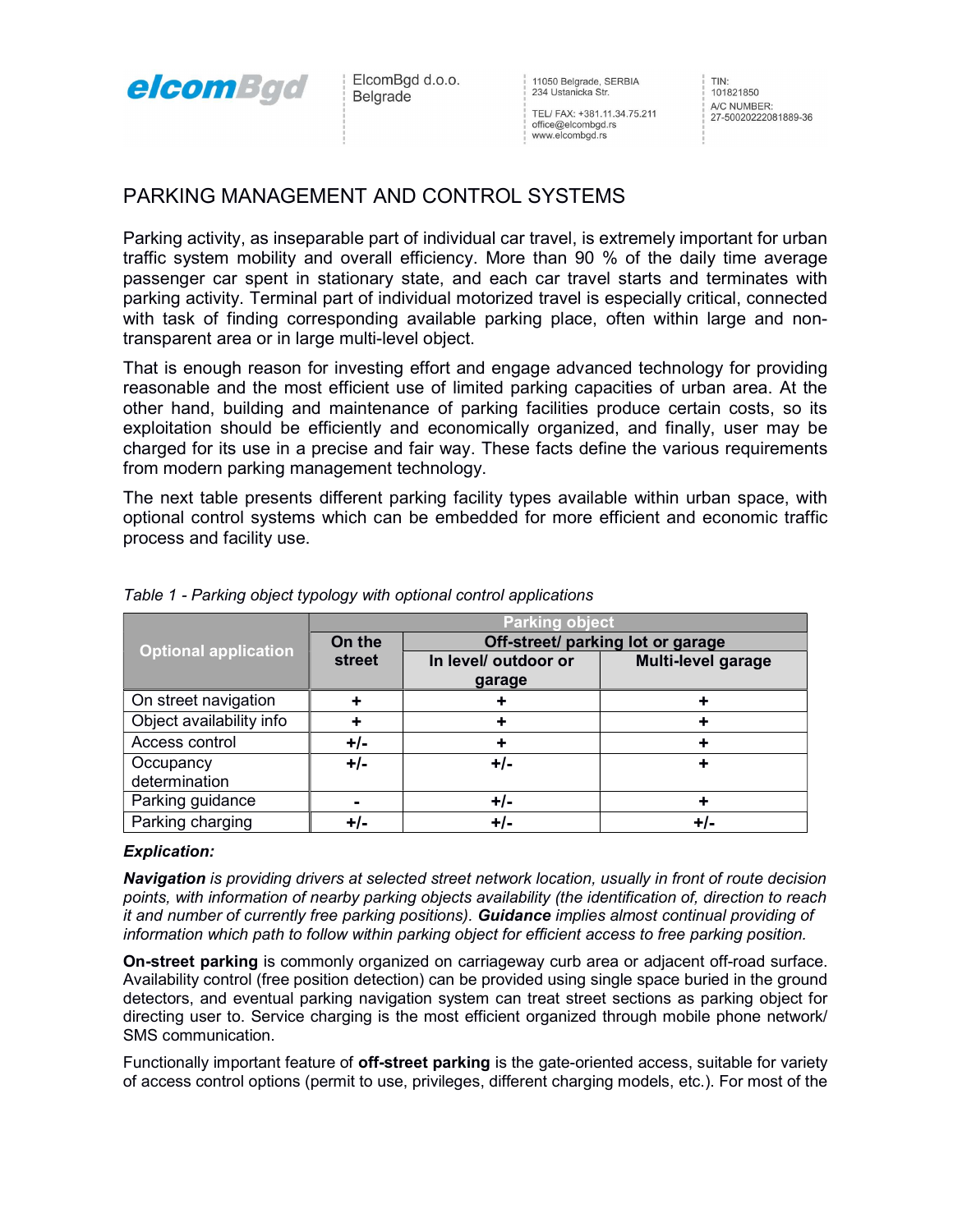

ElcomBgd d.o.o. Belgrade

11050 Belgrade, SERBIA 234 Ustanicka Str. TEL/ FAX: +381.11.34.75.211

office@elcombgd.rs www.elcombgd.rs

TIN: 101821850 A/C NUMBER: 27-50020222081889-36

## PARKING MANAGEMENT AND CONTROL SYSTEMS

Parking activity, as inseparable part of individual car travel, is extremely important for urban traffic system mobility and overall efficiency. More than 90 % of the daily time average passenger car spent in stationary state, and each car travel starts and terminates with parking activity. Terminal part of individual motorized travel is especially critical, connected with task of finding corresponding available parking place, often within large and nontransparent area or in large multi-level object.

That is enough reason for investing effort and engage advanced technology for providing reasonable and the most efficient use of limited parking capacities of urban area. At the other hand, building and maintenance of parking facilities produce certain costs, so its exploitation should be efficiently and economically organized, and finally, user may be charged for its use in a precise and fair way. These facts define the various requirements from modern parking management technology.

The next table presents different parking facility types available within urban space, with optional control systems which can be embedded for more efficient and economic traffic process and facility use.

|                             |               | <b>Parking object</b> |                                   |  |
|-----------------------------|---------------|-----------------------|-----------------------------------|--|
|                             | On the        |                       | Off-street/ parking lot or garage |  |
| <b>Optional application</b> | <b>street</b> | In level/ outdoor or  | Multi-level garage                |  |
|                             |               | garage                |                                   |  |
| On street navigation        |               |                       |                                   |  |
| Object availability info    |               |                       |                                   |  |
| Access control              | $+/-$         |                       |                                   |  |
| Occupancy                   | $+/-$         | $+/-$                 |                                   |  |
| determination               |               |                       |                                   |  |
| Parking guidance            |               | $+/-$                 |                                   |  |
| Parking charging            |               |                       |                                   |  |

Table 1 - Parking object typology with optional control applications

## Explication:

Navigation is providing drivers at selected street network location, usually in front of route decision points, with information of nearby parking objects availability (the identification of, direction to reach it and number of currently free parking positions). Guidance implies almost continual providing of information which path to follow within parking object for efficient access to free parking position.

On-street parking is commonly organized on carriageway curb area or adjacent off-road surface. Availability control (free position detection) can be provided using single space buried in the ground detectors, and eventual parking navigation system can treat street sections as parking object for directing user to. Service charging is the most efficient organized through mobile phone network/ SMS communication.

Functionally important feature of **off-street parking** is the gate-oriented access, suitable for variety of access control options (permit to use, privileges, different charging models, etc.). For most of the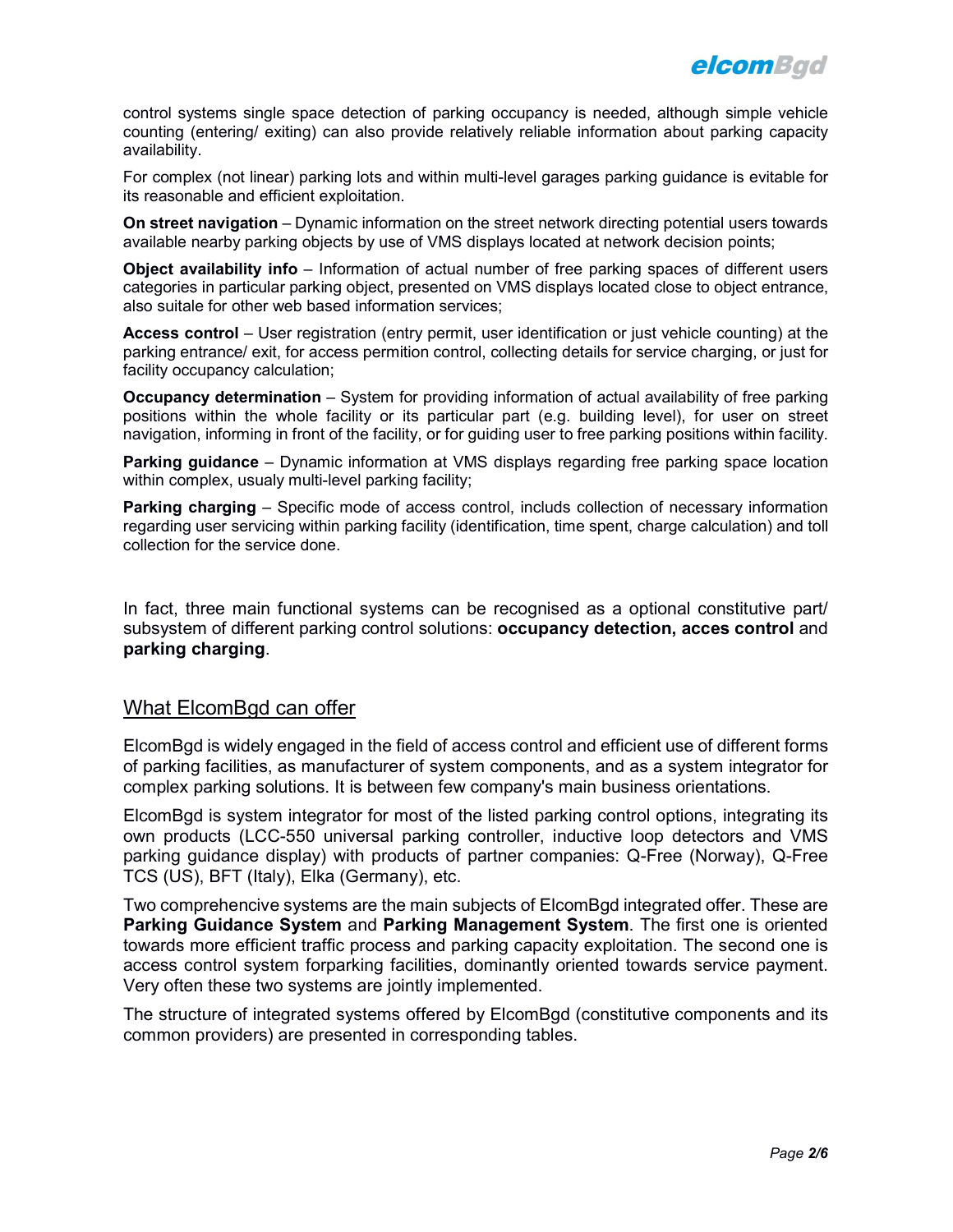control systems single space detection of parking occupancy is needed, although simple vehicle counting (entering/ exiting) can also provide relatively reliable information about parking capacity availability.

For complex (not linear) parking lots and within multi-level garages parking guidance is evitable for its reasonable and efficient exploitation.

On street navigation – Dynamic information on the street network directing potential users towards available nearby parking objects by use of VMS displays located at network decision points;

Object availability info – Information of actual number of free parking spaces of different users categories in particular parking object, presented on VMS displays located close to object entrance, also suitale for other web based information services;

Access control – User registration (entry permit, user identification or just vehicle counting) at the parking entrance/ exit, for access permition control, collecting details for service charging, or just for facility occupancy calculation;

Occupancy determination – System for providing information of actual availability of free parking positions within the whole facility or its particular part (e.g. building level), for user on street navigation, informing in front of the facility, or for guiding user to free parking positions within facility.

Parking guidance – Dynamic information at VMS displays regarding free parking space location within complex, usualy multi-level parking facility;

Parking charging – Specific mode of access control, includs collection of necessary information regarding user servicing within parking facility (identification, time spent, charge calculation) and toll collection for the service done.

In fact, three main functional systems can be recognised as a optional constitutive part/ subsystem of different parking control solutions: **occupancy detection, acces control** and

## parking charging. What ElcomBgd can offer

ElcomBgd is widely engaged in the field of access control and efficient use of different forms of parking facilities, as manufacturer of system components, and as a system integrator for complex parking solutions. It is between few company's main business orientations.

ElcomBgd is system integrator for most of the listed parking control options, integrating its own products (LCC-550 universal parking controller, inductive loop detectors and VMS parking guidance display) with products of partner companies: Q-Free (Norway), Q-Free TCS (US), BFT (Italy), Elka (Germany), etc.

Two comprehencive systems are the main subjects of ElcomBgd integrated offer. These are Parking Guidance System and Parking Management System. The first one is oriented towards more efficient traffic process and parking capacity exploitation. The second one is access control system forparking facilities, dominantly oriented towards service payment. Very often these two systems are jointly implemented.

The structure of integrated systems offered by ElcomBgd (constitutive components and its common providers) are presented in corresponding tables.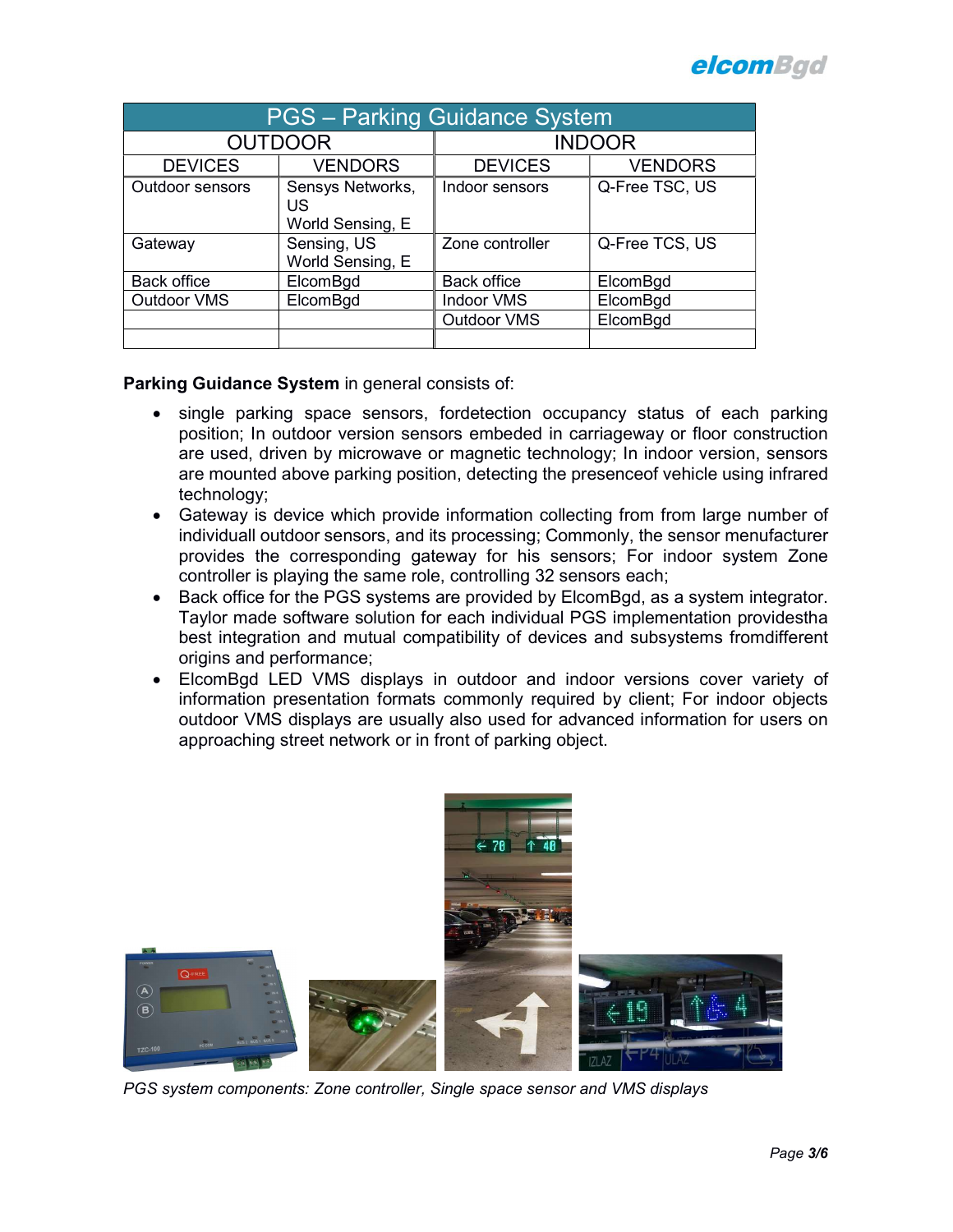

| <b>PGS</b> - Parking Guidance System |                                            |                    |                 |  |
|--------------------------------------|--------------------------------------------|--------------------|-----------------|--|
| <b>OUTDOOR</b>                       |                                            | <b>INDOOR</b>      |                 |  |
| <b>DEVICES</b>                       | <b>VENDORS</b>                             | <b>DEVICES</b>     | <b>VENDORS</b>  |  |
| Outdoor sensors                      | Sensys Networks,<br>US<br>World Sensing, E | Indoor sensors     | Q-Free TSC, US  |  |
| Gateway                              | Sensing, US<br>World Sensing, E            | Zone controller    | Q-Free TCS, US  |  |
| Back office                          | ElcomBgd                                   | Back office        | ElcomBgd        |  |
| Outdoor VMS                          | ElcomBgd                                   | Indoor VMS         | ElcomBgd        |  |
|                                      |                                            | <b>Outdoor VMS</b> | <b>ElcomBgd</b> |  |

Parking Guidance System in general consists of:

- single parking space sensors, fordetection occupancy status of each parking position; In outdoor version sensors embeded in carriageway or floor construction are used, driven by microwave or magnetic technology; In indoor version, sensors are mounted above parking position, detecting the presenceof vehicle using infrared technology;
- Gateway is device which provide information collecting from from large number of individuall outdoor sensors, and its processing; Commonly, the sensor menufacturer provides the corresponding gateway for his sensors; For indoor system Zone controller is playing the same role, controlling 32 sensors each;
- Back office for the PGS systems are provided by ElcomBgd, as a system integrator. Taylor made software solution for each individual PGS implementation providestha best integration and mutual compatibility of devices and subsystems fromdifferent origins and performance;
- ElcomBgd LED VMS displays in outdoor and indoor versions cover variety of information presentation formats commonly required by client; For indoor objects outdoor VMS displays are usually also used for advanced information for users on approaching street network or in front of parking object.



PGS system components: Zone controller, Single space sensor and VMS displays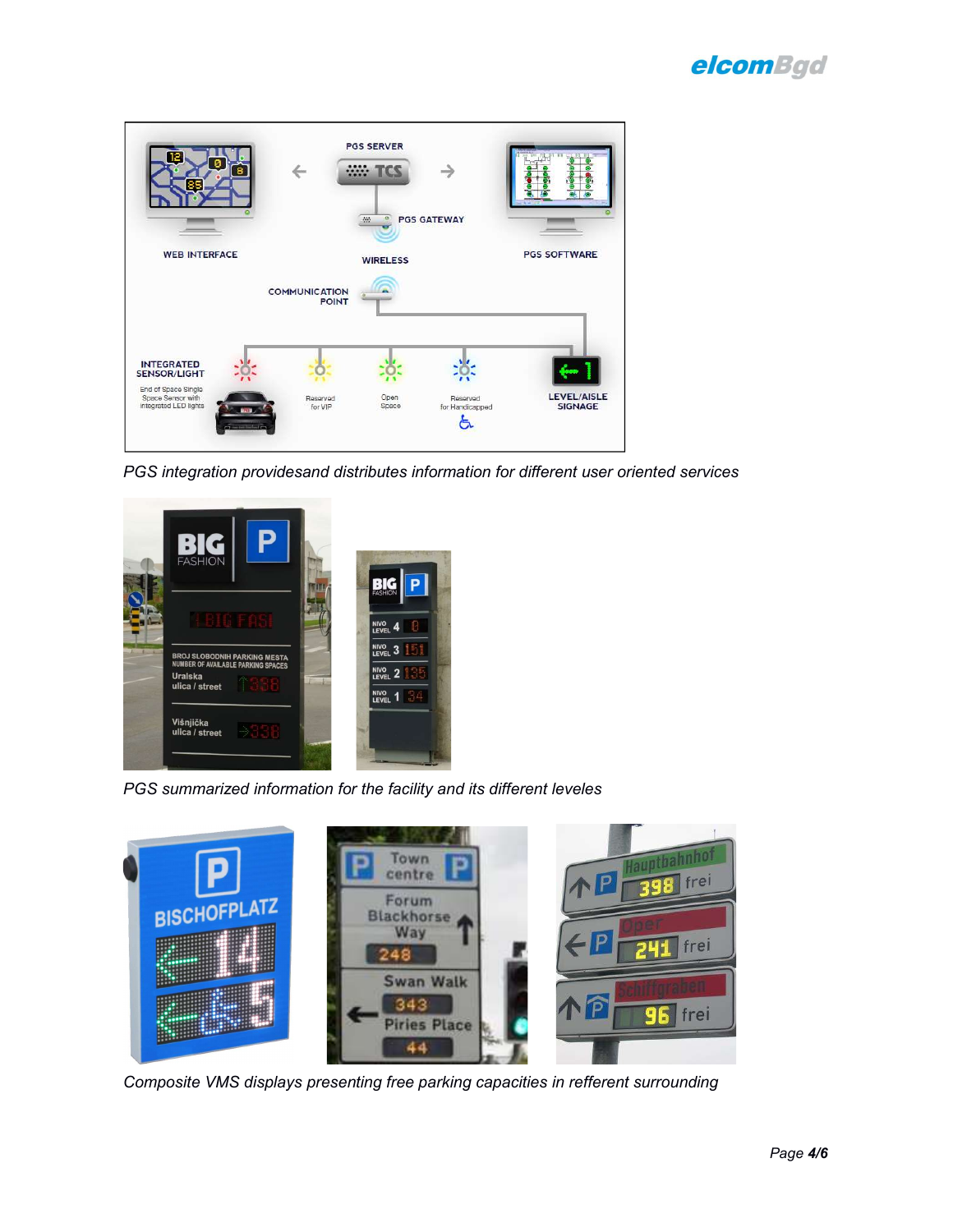



PGS integration providesand distributes information for different user oriented services



PGS summarized information for the facility and its different leveles



Composite VMS displays presenting free parking capacities in refferent surrounding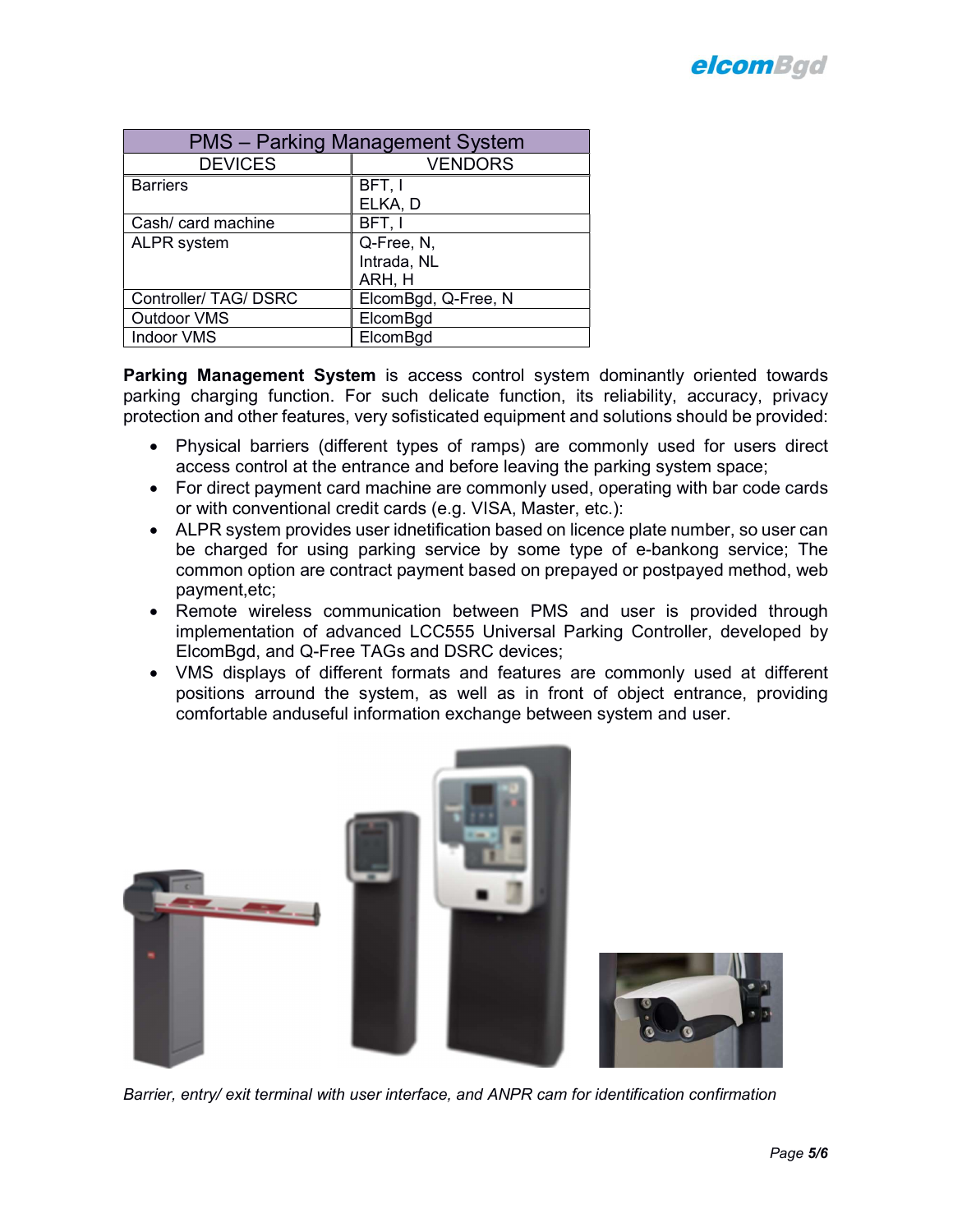

| <b>PMS</b> – Parking Management System |                     |  |
|----------------------------------------|---------------------|--|
| <b>DEVICES</b>                         | <b>VENDORS</b>      |  |
| <b>Barriers</b>                        | BFT, I              |  |
|                                        | ELKA, D             |  |
| Cash/ card machine                     | BFT.I               |  |
| ALPR system                            | Q-Free, N,          |  |
|                                        | Intrada, NL         |  |
|                                        | ARH, H              |  |
| Controller/ TAG/ DSRC                  | ElcomBgd, Q-Free, N |  |
| <b>Outdoor VMS</b>                     | ElcomBgd            |  |
| <b>Indoor VMS</b>                      | ElcomBgd            |  |

Parking Management System is access control system dominantly oriented towards parking charging function. For such delicate function, its reliability, accuracy, privacy protection and other features, very sofisticated equipment and solutions should be provided:

- Physical barriers (different types of ramps) are commonly used for users direct access control at the entrance and before leaving the parking system space;
- For direct payment card machine are commonly used, operating with bar code cards or with conventional credit cards (e.g. VISA, Master, etc.):
- ALPR system provides user idnetification based on licence plate number, so user can be charged for using parking service by some type of e-bankong service; The common option are contract payment based on prepayed or postpayed method, web payment,etc;
- Remote wireless communication between PMS and user is provided through implementation of advanced LCC555 Universal Parking Controller, developed by ElcomBgd, and Q-Free TAGs and DSRC devices;
- VMS displays of different formats and features are commonly used at different positions arround the system, as well as in front of object entrance, providing comfortable anduseful information exchange between system and user.



Barrier, entry/ exit terminal with user interface, and ANPR cam for identification confirmation